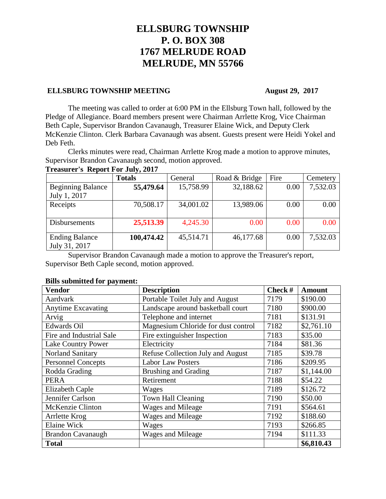# **ELLSBURG TOWNSHIP P. O. BOX 308 1767 MELRUDE ROAD MELRUDE, MN 55766**

#### **ELLSBURG TOWNSHIP MEETING August 29, 2017**

The meeting was called to order at 6:00 PM in the Ellsburg Town hall, followed by the Pledge of Allegiance. Board members present were Chairman Arrlette Krog, Vice Chairman Beth Caple, Supervisor Brandon Cavanaugh, Treasurer Elaine Wick, and Deputy Clerk McKenzie Clinton. Clerk Barbara Cavanaugh was absent. Guests present were Heidi Yokel and Deb Feth.

Clerks minutes were read, Chairman Arrlette Krog made a motion to approve minutes, Supervisor Brandon Cavanaugh second, motion approved.

### **Treasurer's Report For July, 2017**

|                          | <b>Totals</b> | General   | Road & Bridge | Fire | Cemetery |
|--------------------------|---------------|-----------|---------------|------|----------|
| <b>Beginning Balance</b> | 55,479.64     | 15,758.99 | 32,188.62     | 0.00 | 7,532.03 |
| July 1, 2017             |               |           |               |      |          |
| Receipts                 | 70,508.17     | 34,001.02 | 13,989.06     | 0.00 | 0.00     |
|                          |               |           |               |      |          |
| Disbursements            | 25,513.39     | 4,245.30  | 0.00          | 0.00 | 0.00     |
|                          |               |           |               |      |          |
| <b>Ending Balance</b>    | 100,474.42    | 45,514.71 | 46,177.68     | 0.00 | 7,532.03 |
| July 31, 2017            |               |           |               |      |          |

Supervisor Brandon Cavanaugh made a motion to approve the Treasurer's report, Supervisor Beth Caple second, motion approved.

## **Vendor Description Check # Amount** Aardvark **Portable Toilet July and August** 7179 \$190.00 Anytime Excavating Landscape around basketball court 7180 \$900.00 Arvig Relephone and internet 7181 \$131.91 Edwards Oil Magnesium Chloride for dust control 7182 \$2,761.10 Fire and Industrial Sale Fire extinguisher Inspection 7183 \$35.00 Lake Country Power Electricity 7184 \$81.36 Norland Sanitary Refuse Collection July and August 7185 \$39.78 Personnel Concepts Labor Law Posters 7186 \$209.95 Rodda Grading Rodda Grading Rodda Grading 81,144.00 PERA Retirement 7188 \$54.22 Elizabeth Caple Wages 7189 \$126.72 Jennifer Carlson Town Hall Cleaning 7190 \$50.00 McKenzie Clinton Wages and Mileage 7191 \$564.61 Arrlette Krog Wages and Mileage 7192 \$188.60 Elaine Wick Nages 1993 | \$266.85 Brandon Cavanaugh Wages and Mileage 7194 \$111.33 **Total \$6,810.43**

#### **Bills submitted for payment:**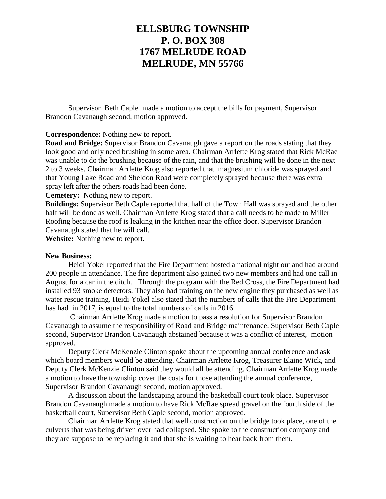## **ELLSBURG TOWNSHIP P. O. BOX 308 1767 MELRUDE ROAD MELRUDE, MN 55766**

Supervisor Beth Caple made a motion to accept the bills for payment, Supervisor Brandon Cavanaugh second, motion approved.

### **Correspondence:** Nothing new to report.

**Road and Bridge:** Supervisor Brandon Cavanaugh gave a report on the roads stating that they look good and only need brushing in some area. Chairman Arrlette Krog stated that Rick McRae was unable to do the brushing because of the rain, and that the brushing will be done in the next 2 to 3 weeks. Chairman Arrlette Krog also reported that magnesium chloride was sprayed and that Young Lake Road and Sheldon Road were completely sprayed because there was extra spray left after the others roads had been done.

**Cemetery:** Nothing new to report.

**Buildings:** Supervisor Beth Caple reported that half of the Town Hall was sprayed and the other half will be done as well. Chairman Arrlette Krog stated that a call needs to be made to Miller Roofing because the roof is leaking in the kitchen near the office door. Supervisor Brandon Cavanaugh stated that he will call.

**Website:** Nothing new to report.

#### **New Business:**

Heidi Yokel reported that the Fire Department hosted a national night out and had around 200 people in attendance. The fire department also gained two new members and had one call in August for a car in the ditch. Through the program with the Red Cross, the Fire Department had installed 93 smoke detectors. They also had training on the new engine they purchased as well as water rescue training. Heidi Yokel also stated that the numbers of calls that the Fire Department has had in 2017, is equal to the total numbers of calls in 2016.

Chairman Arrlette Krog made a motion to pass a resolution for Supervisor Brandon Cavanaugh to assume the responsibility of Road and Bridge maintenance. Supervisor Beth Caple second, Supervisor Brandon Cavanaugh abstained because it was a conflict of interest, motion approved.

Deputy Clerk McKenzie Clinton spoke about the upcoming annual conference and ask which board members would be attending. Chairman Arrlette Krog, Treasurer Elaine Wick, and Deputy Clerk McKenzie Clinton said they would all be attending. Chairman Arrlette Krog made a motion to have the township cover the costs for those attending the annual conference, Supervisor Brandon Cavanaugh second, motion approved.

A discussion about the landscaping around the basketball court took place. Supervisor Brandon Cavanaugh made a motion to have Rick McRae spread gravel on the fourth side of the basketball court, Supervisor Beth Caple second, motion approved.

Chairman Arrlette Krog stated that well construction on the bridge took place, one of the culverts that was being driven over had collapsed. She spoke to the construction company and they are suppose to be replacing it and that she is waiting to hear back from them.